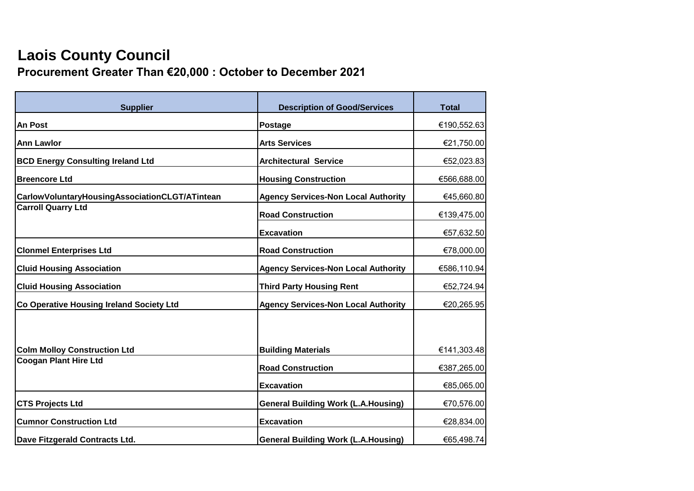## **Laois County Council**

**Procurement Greater Than €20,000 : October to December 2021**

| <b>Supplier</b>                                | <b>Description of Good/Services</b>        | <b>Total</b> |
|------------------------------------------------|--------------------------------------------|--------------|
| <b>An Post</b>                                 | <b>Postage</b>                             | €190,552.63  |
| <b>Ann Lawlor</b>                              | <b>Arts Services</b>                       | €21,750.00   |
| <b>BCD Energy Consulting Ireland Ltd</b>       | <b>Architectural Service</b>               | €52,023.83   |
| <b>Breencore Ltd</b>                           | <b>Housing Construction</b>                | €566,688.00  |
| CarlowVoluntaryHousingAssociationCLGT/ATintean | <b>Agency Services-Non Local Authority</b> | €45,660.80   |
| <b>Carroll Quarry Ltd</b>                      | <b>Road Construction</b>                   | €139,475.00  |
|                                                | <b>Excavation</b>                          | €57,632.50   |
| <b>Clonmel Enterprises Ltd</b>                 | <b>Road Construction</b>                   | €78,000.00   |
| <b>Cluid Housing Association</b>               | <b>Agency Services-Non Local Authority</b> | €586,110.94  |
| <b>Cluid Housing Association</b>               | <b>Third Party Housing Rent</b>            | €52,724.94   |
| Co Operative Housing Ireland Society Ltd       | <b>Agency Services-Non Local Authority</b> | €20,265.95   |
| <b>Colm Molloy Construction Ltd</b>            | <b>Building Materials</b>                  | €141,303.48  |
| <b>Coogan Plant Hire Ltd</b>                   | <b>Road Construction</b>                   | €387,265.00  |
|                                                | <b>Excavation</b>                          | €85,065.00   |
| <b>CTS Projects Ltd</b>                        | <b>General Building Work (L.A.Housing)</b> | €70,576.00   |
| <b>Cumnor Construction Ltd</b>                 | <b>Excavation</b>                          | €28,834.00   |
| Dave Fitzgerald Contracts Ltd.                 | <b>General Building Work (L.A.Housing)</b> | €65,498.74   |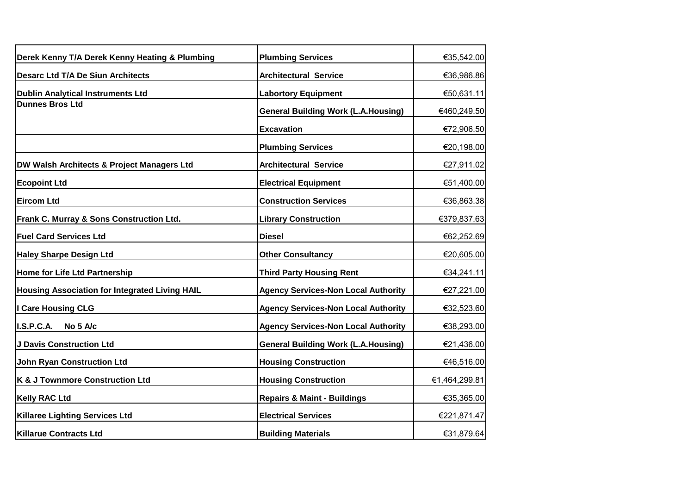| Derek Kenny T/A Derek Kenny Heating & Plumbing        | <b>Plumbing Services</b>                   | €35,542.00    |
|-------------------------------------------------------|--------------------------------------------|---------------|
| <b>Desarc Ltd T/A De Siun Architects</b>              | <b>Architectural Service</b>               | €36,986.86    |
| <b>Dublin Analytical Instruments Ltd</b>              | <b>Labortory Equipment</b>                 | €50,631.11    |
| <b>Dunnes Bros Ltd</b>                                | <b>General Building Work (L.A.Housing)</b> | €460,249.50   |
|                                                       | <b>Excavation</b>                          | €72,906.50    |
|                                                       | <b>Plumbing Services</b>                   | €20,198.00    |
| DW Walsh Architects & Project Managers Ltd            | <b>Architectural Service</b>               | €27,911.02    |
| <b>Ecopoint Ltd</b>                                   | <b>Electrical Equipment</b>                | €51,400.00    |
| <b>Eircom Ltd</b>                                     | <b>Construction Services</b>               | €36,863.38    |
| Frank C. Murray & Sons Construction Ltd.              | <b>Library Construction</b>                | €379,837.63   |
| <b>Fuel Card Services Ltd</b>                         | <b>Diesel</b>                              | €62,252.69    |
| <b>Haley Sharpe Design Ltd</b>                        | <b>Other Consultancy</b>                   | €20,605.00    |
| Home for Life Ltd Partnership                         | <b>Third Party Housing Rent</b>            | €34,241.11    |
| <b>Housing Association for Integrated Living HAIL</b> | <b>Agency Services-Non Local Authority</b> | €27,221.00    |
| I Care Housing CLG                                    | <b>Agency Services-Non Local Authority</b> | €32,523.60    |
| I.S.P.C.A.<br>No 5 A/c                                | <b>Agency Services-Non Local Authority</b> | €38,293.00    |
| <b>J Davis Construction Ltd</b>                       | <b>General Building Work (L.A.Housing)</b> | €21,436.00    |
| <b>John Ryan Construction Ltd</b>                     | <b>Housing Construction</b>                | €46,516.00    |
| K & J Townmore Construction Ltd                       | <b>Housing Construction</b>                | €1,464,299.81 |
| <b>Kelly RAC Ltd</b>                                  | <b>Repairs &amp; Maint - Buildings</b>     | €35,365.00    |
| <b>Killaree Lighting Services Ltd</b>                 | <b>Electrical Services</b>                 | €221,871.47   |
| <b>Killarue Contracts Ltd</b>                         | <b>Building Materials</b>                  | €31,879.64    |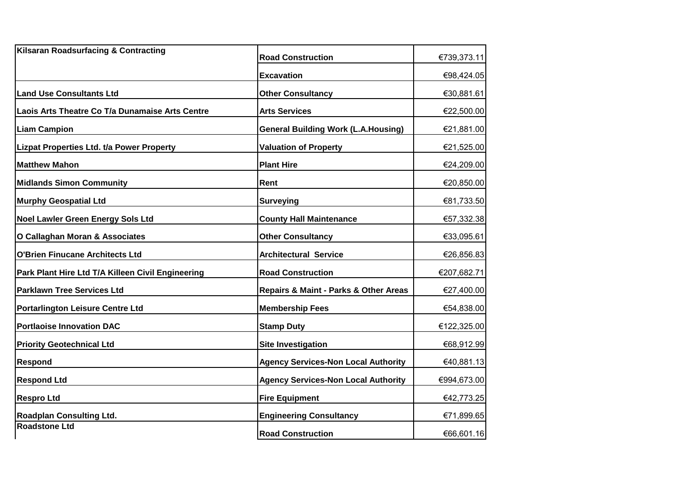| Kilsaran Roadsurfacing & Contracting              | <b>Road Construction</b>                   | €739,373.11 |
|---------------------------------------------------|--------------------------------------------|-------------|
|                                                   | <b>Excavation</b>                          | €98,424.05  |
| <b>Land Use Consultants Ltd</b>                   | <b>Other Consultancy</b>                   | €30,881.61  |
| Laois Arts Theatre Co T/a Dunamaise Arts Centre   | <b>Arts Services</b>                       | €22,500.00  |
| <b>Liam Campion</b>                               | <b>General Building Work (L.A.Housing)</b> | €21,881.00  |
| Lizpat Properties Ltd. t/a Power Property         | <b>Valuation of Property</b>               | €21,525.00  |
| Matthew Mahon                                     | <b>Plant Hire</b>                          | €24,209.00  |
| <b>Midlands Simon Community</b>                   | Rent                                       | €20,850.00  |
| Murphy Geospatial Ltd                             | <b>Surveying</b>                           | €81,733.50  |
| <b>Noel Lawler Green Energy Sols Ltd</b>          | <b>County Hall Maintenance</b>             | €57,332.38  |
| O Callaghan Moran & Associates                    | <b>Other Consultancy</b>                   | €33,095.61  |
| O'Brien Finucane Architects Ltd                   | <b>Architectural Service</b>               | €26,856.83  |
| Park Plant Hire Ltd T/A Killeen Civil Engineering | <b>Road Construction</b>                   | €207,682.71 |
| <b>Parklawn Tree Services Ltd</b>                 | Repairs & Maint - Parks & Other Areas      | €27,400.00  |
| <b>Portarlington Leisure Centre Ltd</b>           | <b>Membership Fees</b>                     | €54,838.00  |
| <b>Portlaoise Innovation DAC</b>                  | <b>Stamp Duty</b>                          | €122,325.00 |
| <b>Priority Geotechnical Ltd</b>                  | <b>Site Investigation</b>                  | €68,912.99  |
| <b>Respond</b>                                    | <b>Agency Services-Non Local Authority</b> | €40,881.13  |
| <b>Respond Ltd</b>                                | <b>Agency Services-Non Local Authority</b> | €994,673.00 |
| <b>Respro Ltd</b>                                 | <b>Fire Equipment</b>                      | €42,773.25  |
| <b>Roadplan Consulting Ltd.</b>                   | <b>Engineering Consultancy</b>             | €71,899.65  |
| Roadstone Ltd                                     | <b>Road Construction</b>                   | €66,601.16  |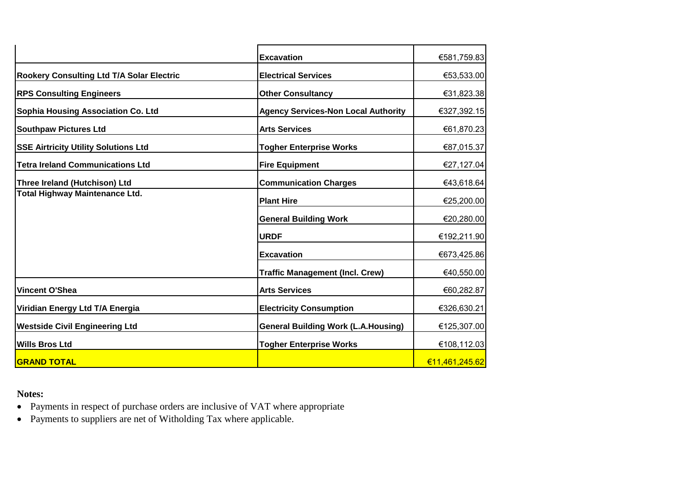|                                             | <b>Excavation</b>                          | €581,759.83    |
|---------------------------------------------|--------------------------------------------|----------------|
| Rookery Consulting Ltd T/A Solar Electric   | <b>Electrical Services</b>                 | €53,533.00     |
| <b>RPS Consulting Engineers</b>             | <b>Other Consultancy</b>                   | €31,823.38     |
| Sophia Housing Association Co. Ltd          | <b>Agency Services-Non Local Authority</b> | €327,392.15    |
| <b>Southpaw Pictures Ltd</b>                | <b>Arts Services</b>                       | €61,870.23     |
| <b>SSE Airtricity Utility Solutions Ltd</b> | <b>Togher Enterprise Works</b>             | €87,015.37     |
| <b>Tetra Ireland Communications Ltd</b>     | <b>Fire Equipment</b>                      | €27,127.04     |
| Three Ireland (Hutchison) Ltd               | <b>Communication Charges</b>               | €43,618.64     |
| <b>Total Highway Maintenance Ltd.</b>       | <b>Plant Hire</b>                          | €25,200.00     |
|                                             | <b>General Building Work</b>               | €20,280.00     |
|                                             | <b>URDF</b>                                | €192,211.90    |
|                                             | <b>Excavation</b>                          | €673,425.86    |
|                                             | <b>Traffic Management (Incl. Crew)</b>     | €40,550.00     |
| <b>Vincent O'Shea</b>                       | <b>Arts Services</b>                       | €60,282.87     |
| Viridian Energy Ltd T/A Energia             | <b>Electricity Consumption</b>             | €326,630.21    |
| <b>Westside Civil Engineering Ltd</b>       | <b>General Building Work (L.A.Housing)</b> | €125,307.00    |
| <b>Wills Bros Ltd</b>                       | <b>Togher Enterprise Works</b>             | €108,112.03    |
| <b>GRAND TOTAL</b>                          |                                            | €11,461,245.62 |

## **Notes:**

• Payments in respect of purchase orders are inclusive of VAT where appropriate

• Payments to suppliers are net of Witholding Tax where applicable.